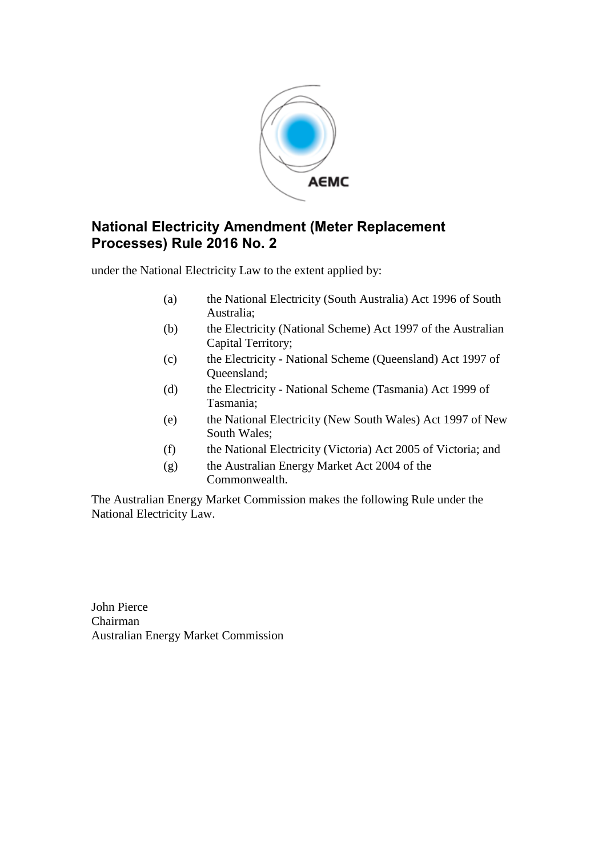

## **National Electricity Amendment (Meter Replacement Processes) Rule 2016 No. 2**

under the National Electricity Law to the extent applied by:

- (a) the National Electricity (South Australia) Act 1996 of South Australia;
- (b) the Electricity (National Scheme) Act 1997 of the Australian Capital Territory;
- (c) the Electricity National Scheme (Queensland) Act 1997 of Queensland;
- (d) the Electricity National Scheme (Tasmania) Act 1999 of Tasmania;
- (e) the National Electricity (New South Wales) Act 1997 of New South Wales;
- (f) the National Electricity (Victoria) Act 2005 of Victoria; and
- (g) the Australian Energy Market Act 2004 of the Commonwealth.

The Australian Energy Market Commission makes the following Rule under the National Electricity Law.

John Pierce Chairman Australian Energy Market Commission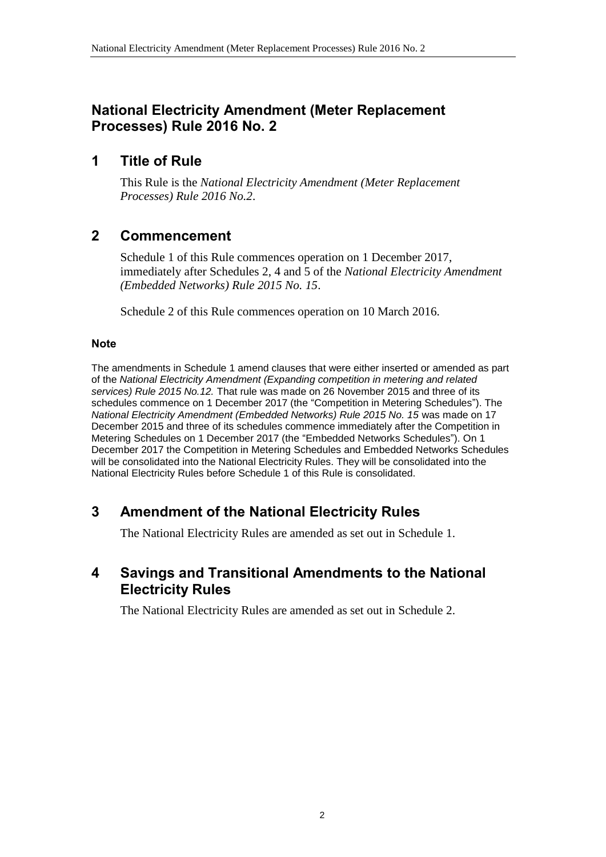## **National Electricity Amendment (Meter Replacement Processes) Rule 2016 No. 2**

## **1 Title of Rule**

This Rule is the *National Electricity Amendment (Meter Replacement Processes) Rule 2016 No.2*.

## **2 Commencement**

Schedule 1 of this Rule commences operation on 1 December 2017, immediately after Schedules 2, 4 and 5 of the *National Electricity Amendment (Embedded Networks) Rule 2015 No. 15*.

Schedule 2 of this Rule commences operation on 10 March 2016.

#### **Note**

The amendments in Schedule 1 amend clauses that were either inserted or amended as part of the *National Electricity Amendment (Expanding competition in metering and related services) Rule 2015 No.12.* That rule was made on 26 November 2015 and three of its schedules commence on 1 December 2017 (the "Competition in Metering Schedules"). The *National Electricity Amendment (Embedded Networks) Rule 2015 No. 15* was made on 17 December 2015 and three of its schedules commence immediately after the Competition in Metering Schedules on 1 December 2017 (the "Embedded Networks Schedules"). On 1 December 2017 the Competition in Metering Schedules and Embedded Networks Schedules will be consolidated into the National Electricity Rules. They will be consolidated into the National Electricity Rules before Schedule 1 of this Rule is consolidated.

# <span id="page-1-0"></span>**3 Amendment of the National Electricity Rules**

The National Electricity Rules are amended as set out in [Schedule 1.](#page-2-0)

## <span id="page-1-1"></span>**4 Savings and Transitional Amendments to the National Electricity Rules**

The National Electricity Rules are amended as set out in [Schedule 2.](#page-3-0)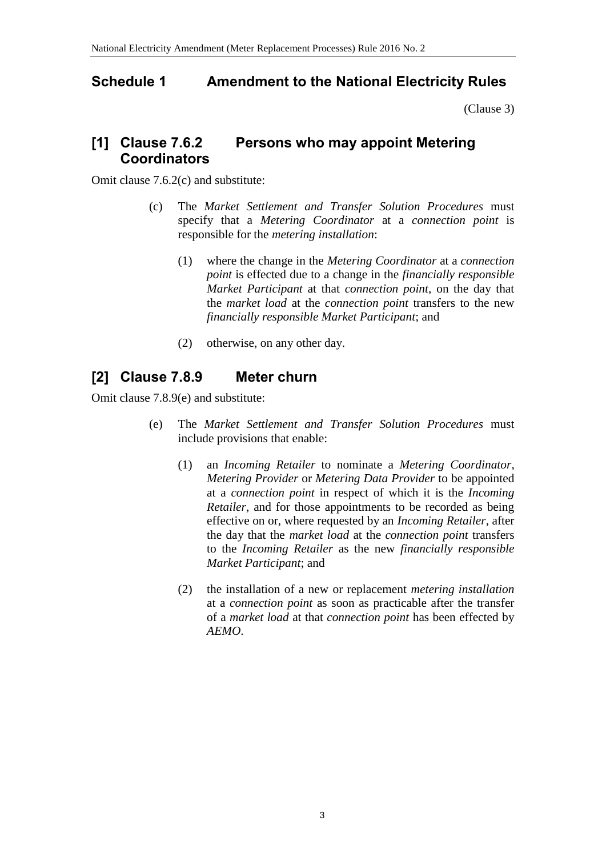## <span id="page-2-0"></span>**Schedule 1 Amendment to the National Electricity Rules**

[\(Clause 3\)](#page-1-0)

## **[1] Clause 7.6.2 Persons who may appoint Metering Coordinators**

Omit clause 7.6.2(c) and substitute:

- (c) The *Market Settlement and Transfer Solution Procedures* must specify that a *Metering Coordinator* at a *connection point* is responsible for the *metering installation*:
	- (1) where the change in the *Metering Coordinator* at a *connection point* is effected due to a change in the *financially responsible Market Participant* at that *connection point*, on the day that the *market load* at the *connection point* transfers to the new *financially responsible Market Participant*; and
	- (2) otherwise, on any other day.

# **[2] Clause 7.8.9 Meter churn**

Omit clause 7.8.9(e) and substitute:

- (e) The *Market Settlement and Transfer Solution Procedures* must include provisions that enable:
	- (1) an *Incoming Retailer* to nominate a *Metering Coordinator*, *Metering Provider* or *Metering Data Provider* to be appointed at a *connection point* in respect of which it is the *Incoming Retailer*, and for those appointments to be recorded as being effective on or, where requested by an *Incoming Retailer*, after the day that the *market load* at the *connection point* transfers to the *Incoming Retailer* as the new *financially responsible Market Participant*; and
	- (2) the installation of a new or replacement *metering installation* at a *connection point* as soon as practicable after the transfer of a *market load* at that *connection point* has been effected by *AEMO*.